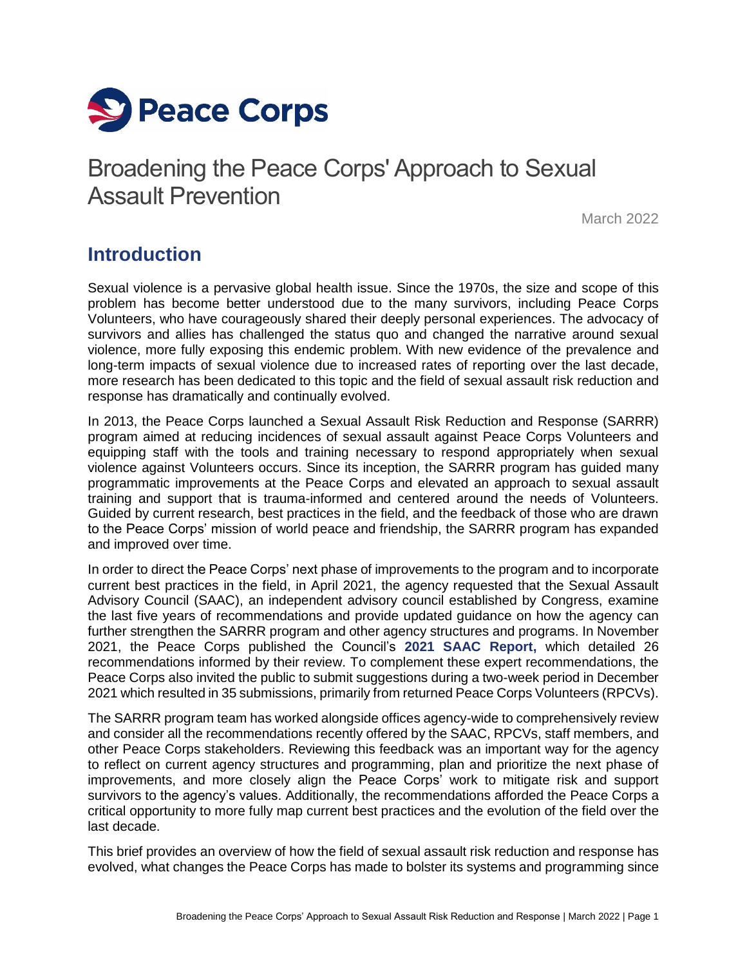

## Broadening the Peace Corps' Approach to Sexual Assault Prevention

March 2022

### **Introduction**

Sexual violence is a pervasive global health issue. Since the 1970s, the size and scope of this problem has become better understood due to the many survivors, including Peace Corps Volunteers, who have courageously shared their deeply personal experiences. The advocacy of survivors and allies has challenged the status quo and changed the narrative around sexual violence, more fully exposing this endemic problem. With new evidence of the prevalence and long-term impacts of sexual violence due to increased rates of reporting over the last decade, more research has been dedicated to this topic and the field of sexual assault risk reduction and response has dramatically and continually evolved.

In 2013, the Peace Corps launched a Sexual Assault Risk Reduction and Response (SARRR) program aimed at reducing incidences of sexual assault against Peace Corps Volunteers and equipping staff with the tools and training necessary to respond appropriately when sexual violence against Volunteers occurs. Since its inception, the SARRR program has guided many programmatic improvements at the Peace Corps and elevated an approach to sexual assault training and support that is trauma-informed and centered around the needs of Volunteers. Guided by current research, best practices in the field, and the feedback of those who are drawn to the Peace Corps' mission of world peace and friendship, the SARRR program has expanded and improved over time.

In order to direct the Peace Corps' next phase of improvements to the program and to incorporate current best practices in the field, in April 2021, the agency requested that the Sexual Assault Advisory Council (SAAC), an independent advisory council established by Congress, examine the last five years of recommendations and provide updated guidance on how the agency can further strengthen the SARRR program and other agency structures and programs. In November 2021, the Peace Corps published the Council's **[2021 SAAC Report,](https://files.peacecorps.gov/documents/open-government/SAAC_2021_report.pdf)** which detailed 26 recommendations informed by their review. To complement these expert recommendations, the Peace Corps also invited the public to submit suggestions during a two-week period in December 2021 which resulted in 35 submissions, primarily from returned Peace Corps Volunteers (RPCVs).

The SARRR program team has worked alongside offices agency-wide to comprehensively review and consider all the recommendations recently offered by the SAAC, RPCVs, staff members, and other Peace Corps stakeholders. Reviewing this feedback was an important way for the agency to reflect on current agency structures and programming, plan and prioritize the next phase of improvements, and more closely align the Peace Corps' work to mitigate risk and support survivors to the agency's values. Additionally, the recommendations afforded the Peace Corps a critical opportunity to more fully map current best practices and the evolution of the field over the last decade.

This brief provides an overview of how the field of sexual assault risk reduction and response has evolved, what changes the Peace Corps has made to bolster its systems and programming since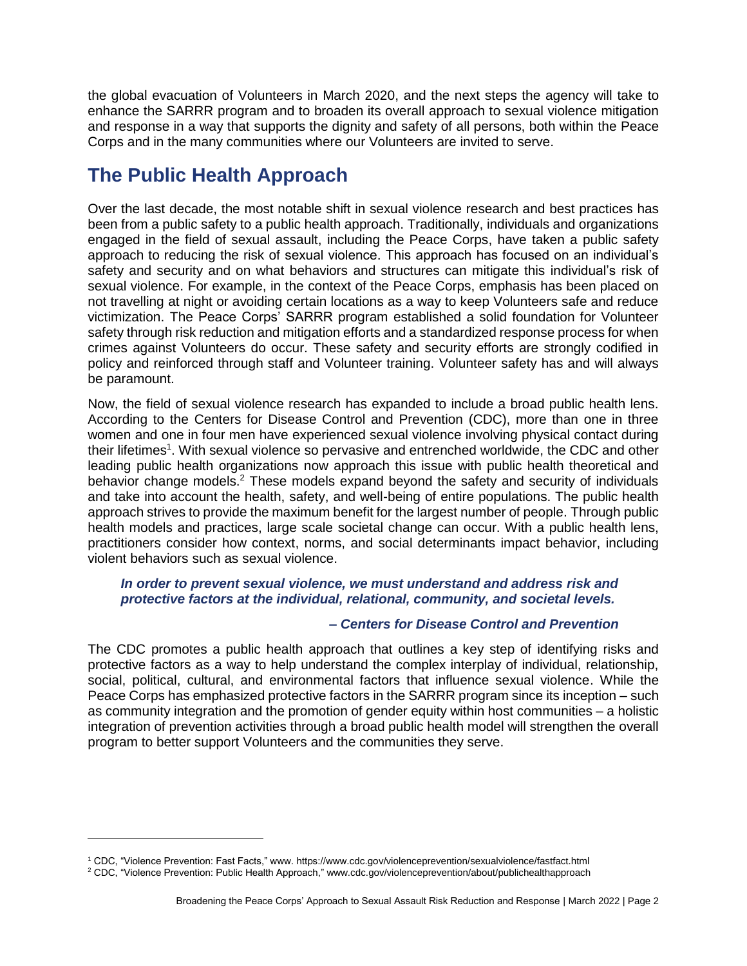the global evacuation of Volunteers in March 2020, and the next steps the agency will take to enhance the SARRR program and to broaden its overall approach to sexual violence mitigation and response in a way that supports the dignity and safety of all persons, both within the Peace Corps and in the many communities where our Volunteers are invited to serve.

## **The Public Health Approach**

Over the last decade, the most notable shift in sexual violence research and best practices has been from a public safety to a public health approach. Traditionally, individuals and organizations engaged in the field of sexual assault, including the Peace Corps, have taken a public safety approach to reducing the risk of sexual violence. This approach has focused on an individual's safety and security and on what behaviors and structures can mitigate this individual's risk of sexual violence. For example, in the context of the Peace Corps, emphasis has been placed on not travelling at night or avoiding certain locations as a way to keep Volunteers safe and reduce victimization. The Peace Corps' SARRR program established a solid foundation for Volunteer safety through risk reduction and mitigation efforts and a standardized response process for when crimes against Volunteers do occur. These safety and security efforts are strongly codified in policy and reinforced through staff and Volunteer training. Volunteer safety has and will always be paramount.

Now, the field of sexual violence research has expanded to include a broad public health lens. According to the Centers for Disease Control and Prevention (CDC), more than one in three women and one in four men have experienced sexual violence involving physical contact during their lifetimes<sup>1</sup>. With sexual violence so pervasive and entrenched worldwide, the CDC and other leading public health organizations now approach this issue with public health theoretical and behavior change models.<sup>2</sup> These models expand beyond the safety and security of individuals and take into account the health, safety, and well-being of entire populations. The public health approach strives to provide the maximum benefit for the largest number of people. Through public health models and practices, large scale societal change can occur. With a public health lens, practitioners consider how context, norms, and social determinants impact behavior, including violent behaviors such as sexual violence.

#### *In order to prevent sexual violence, we must understand and address [risk and](https://www.cdc.gov/violenceprevention/sexualviolence/riskprotectivefactors.html)  [protective factors](https://www.cdc.gov/violenceprevention/sexualviolence/riskprotectivefactors.html) at the individual, relational, community, and societal levels.*

#### *– Centers for Disease Control and Prevention*

The CDC promotes a public health approach that outlines a key step of identifying risks and protective factors as a way to help understand the complex interplay of individual, relationship, social, political, cultural, and environmental factors that influence sexual violence. While the Peace Corps has emphasized protective factors in the SARRR program since its inception – such as community integration and the promotion of gender equity within host communities – a holistic integration of prevention activities through a broad public health model will strengthen the overall program to better support Volunteers and the communities they serve.

 $\overline{a}$ 

<sup>1</sup> CDC, "Violence Prevention: Fast Facts," www. https://www.cdc.gov/violenceprevention/sexualviolence/fastfact.html

<sup>2</sup> CDC, "Violence Prevention: Public Health Approach," www.cdc.gov/violenceprevention/about/publichealthapproach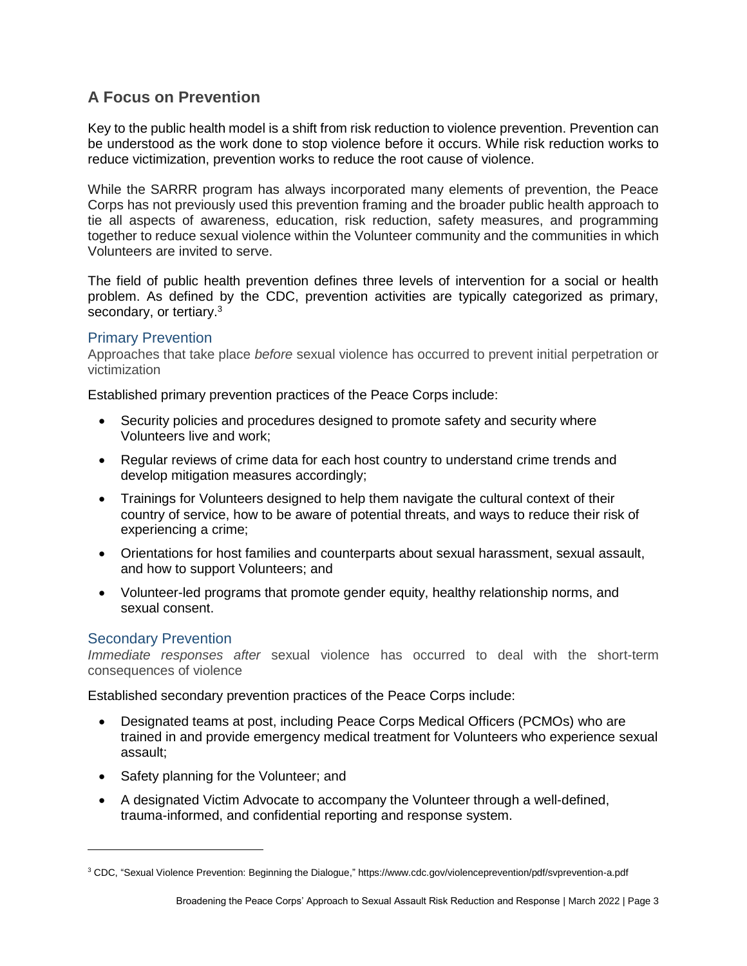#### **A Focus on Prevention**

Key to the public health model is a shift from risk reduction to violence prevention. Prevention can be understood as the work done to stop violence before it occurs. While risk reduction works to reduce victimization, prevention works to reduce the root cause of violence.

While the SARRR program has always incorporated many elements of prevention, the Peace Corps has not previously used this prevention framing and the broader public health approach to tie all aspects of awareness, education, risk reduction, safety measures, and programming together to reduce sexual violence within the Volunteer community and the communities in which Volunteers are invited to serve.

The field of public health prevention defines three levels of intervention for a social or health problem. As defined by the CDC, prevention activities are typically categorized as primary, secondary, or tertiary.<sup>3</sup>

#### Primary Prevention

Approaches that take place *before* sexual violence has occurred to prevent initial perpetration or victimization

Established primary prevention practices of the Peace Corps include:

- Security policies and procedures designed to promote safety and security where Volunteers live and work;
- Regular reviews of crime data for each host country to understand crime trends and develop mitigation measures accordingly;
- Trainings for Volunteers designed to help them navigate the cultural context of their country of service, how to be aware of potential threats, and ways to reduce their risk of experiencing a crime;
- Orientations for host families and counterparts about sexual harassment, sexual assault, and how to support Volunteers; and
- Volunteer-led programs that promote gender equity, healthy relationship norms, and sexual consent.

#### Secondary Prevention

*Immediate responses after* sexual violence has occurred to deal with the short-term consequences of violence

Established secondary prevention practices of the Peace Corps include:

- Designated teams at post, including Peace Corps Medical Officers (PCMOs) who are trained in and provide emergency medical treatment for Volunteers who experience sexual assault;
- Safety planning for the Volunteer; and
- A designated Victim Advocate to accompany the Volunteer through a well-defined, trauma-informed, and confidential reporting and response system.

<sup>3</sup> CDC, "Sexual Violence Prevention: Beginning the Dialogue," https://www.cdc.gov/violenceprevention/pdf/svprevention-a.pdf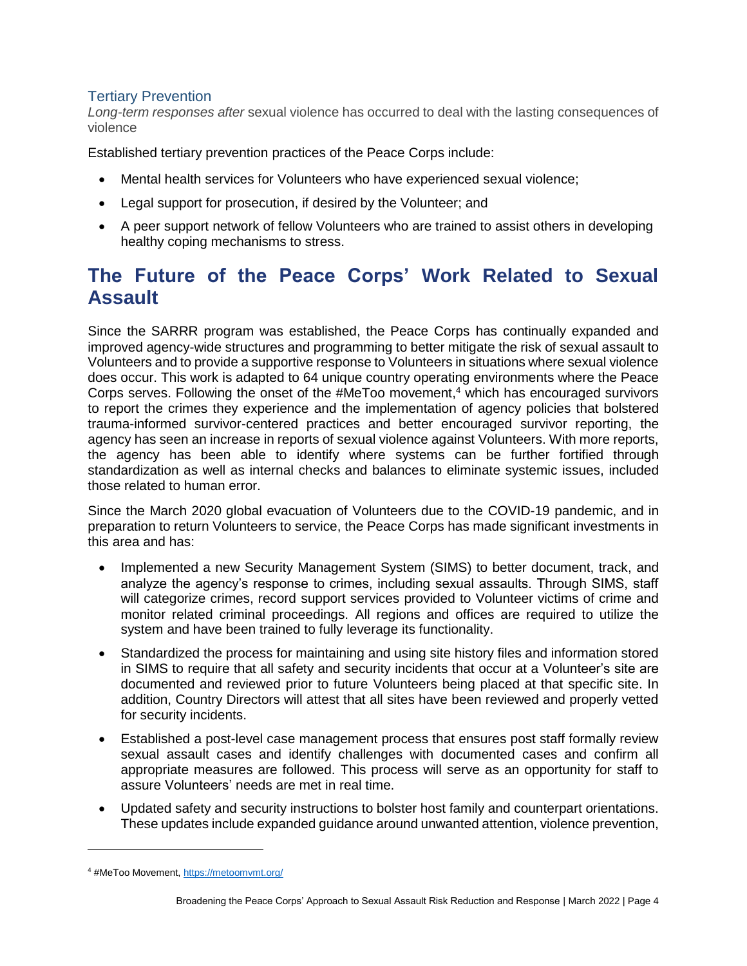#### Tertiary Prevention

*Long-term responses after* sexual violence has occurred to deal with the lasting consequences of violence

Established tertiary prevention practices of the Peace Corps include:

- Mental health services for Volunteers who have experienced sexual violence;
- Legal support for prosecution, if desired by the Volunteer; and
- A peer support network of fellow Volunteers who are trained to assist others in developing healthy coping mechanisms to stress.

## **The Future of the Peace Corps' Work Related to Sexual Assault**

Since the SARRR program was established, the Peace Corps has continually expanded and improved agency-wide structures and programming to better mitigate the risk of sexual assault to Volunteers and to provide a supportive response to Volunteers in situations where sexual violence does occur. This work is adapted to 64 unique country operating environments where the Peace Corps serves. Following the onset of the #MeToo movement, <sup>4</sup> which has encouraged survivors to report the crimes they experience and the implementation of agency policies that bolstered trauma-informed survivor-centered practices and better encouraged survivor reporting, the agency has seen an increase in reports of sexual violence against Volunteers. With more reports, the agency has been able to identify where systems can be further fortified through standardization as well as internal checks and balances to eliminate systemic issues, included those related to human error.

Since the March 2020 global evacuation of Volunteers due to the COVID-19 pandemic, and in preparation to return Volunteers to service, the Peace Corps has made significant investments in this area and has:

- Implemented a new Security Management System (SIMS) to better document, track, and analyze the agency's response to crimes, including sexual assaults. Through SIMS, staff will categorize crimes, record support services provided to Volunteer victims of crime and monitor related criminal proceedings. All regions and offices are required to utilize the system and have been trained to fully leverage its functionality.
- Standardized the process for maintaining and using site history files and information stored in SIMS to require that all safety and security incidents that occur at a Volunteer's site are documented and reviewed prior to future Volunteers being placed at that specific site. In addition, Country Directors will attest that all sites have been reviewed and properly vetted for security incidents.
- Established a post-level case management process that ensures post staff formally review sexual assault cases and identify challenges with documented cases and confirm all appropriate measures are followed. This process will serve as an opportunity for staff to assure Volunteers' needs are met in real time.
- Updated safety and security instructions to bolster host family and counterpart orientations. These updates include expanded guidance around unwanted attention, violence prevention,

<sup>4 #</sup>MeToo Movement[, https://metoomvmt.org/](https://metoomvmt.org/)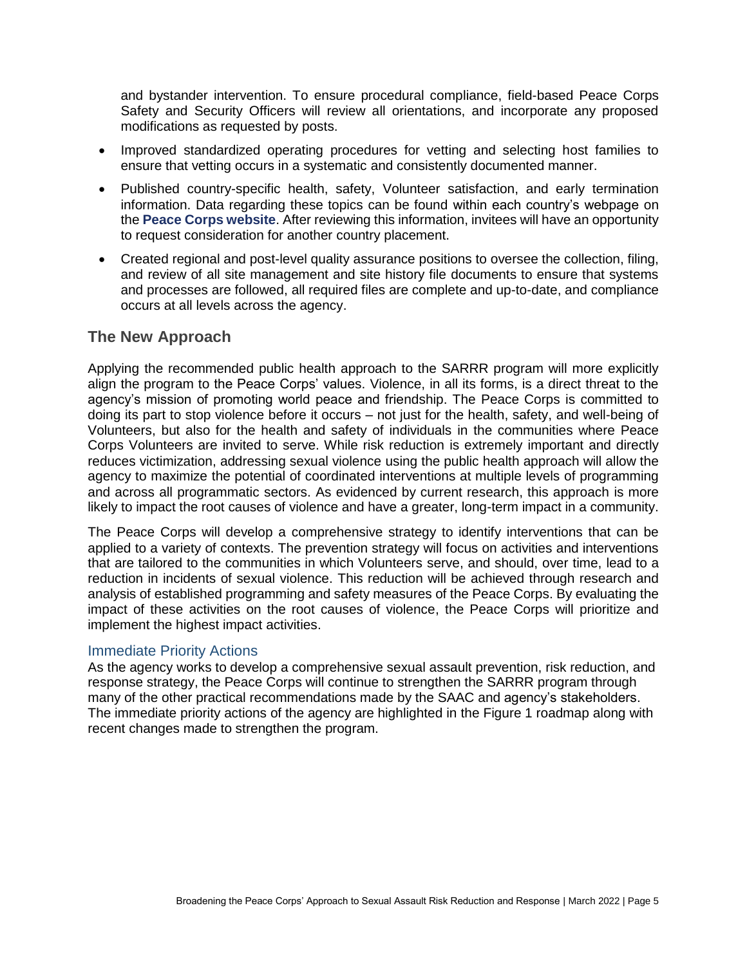and bystander intervention. To ensure procedural compliance, field-based Peace Corps Safety and Security Officers will review all orientations, and incorporate any proposed modifications as requested by posts.

- Improved standardized operating procedures for vetting and selecting host families to ensure that vetting occurs in a systematic and consistently documented manner.
- Published country-specific health, safety, Volunteer satisfaction, and early termination information. Data regarding these topics can be found within each country's webpage on the **[Peace Corps website](https://www.peacecorps.gov/countries/)**. After reviewing this information, invitees will have an opportunity to request consideration for another country placement.
- Created regional and post-level quality assurance positions to oversee the collection, filing, and review of all site management and site history file documents to ensure that systems and processes are followed, all required files are complete and up-to-date, and compliance occurs at all levels across the agency.

#### **The New Approach**

Applying the recommended public health approach to the SARRR program will more explicitly align the program to the Peace Corps' values. Violence, in all its forms, is a direct threat to the agency's mission of promoting world peace and friendship. The Peace Corps is committed to doing its part to stop violence before it occurs – not just for the health, safety, and well-being of Volunteers, but also for the health and safety of individuals in the communities where Peace Corps Volunteers are invited to serve. While risk reduction is extremely important and directly reduces victimization, addressing sexual violence using the public health approach will allow the agency to maximize the potential of coordinated interventions at multiple levels of programming and across all programmatic sectors. As evidenced by current research, this approach is more likely to impact the root causes of violence and have a greater, long-term impact in a community.

The Peace Corps will develop a comprehensive strategy to identify interventions that can be applied to a variety of contexts. The prevention strategy will focus on activities and interventions that are tailored to the communities in which Volunteers serve, and should, over time, lead to a reduction in incidents of sexual violence. This reduction will be achieved through research and analysis of established programming and safety measures of the Peace Corps. By evaluating the impact of these activities on the root causes of violence, the Peace Corps will prioritize and implement the highest impact activities.

#### Immediate Priority Actions

As the agency works to develop a comprehensive sexual assault prevention, risk reduction, and response strategy, the Peace Corps will continue to strengthen the SARRR program through many of the other practical recommendations made by the SAAC and agency's stakeholders. The immediate priority actions of the agency are highlighted in the Figure 1 roadmap along with recent changes made to strengthen the program.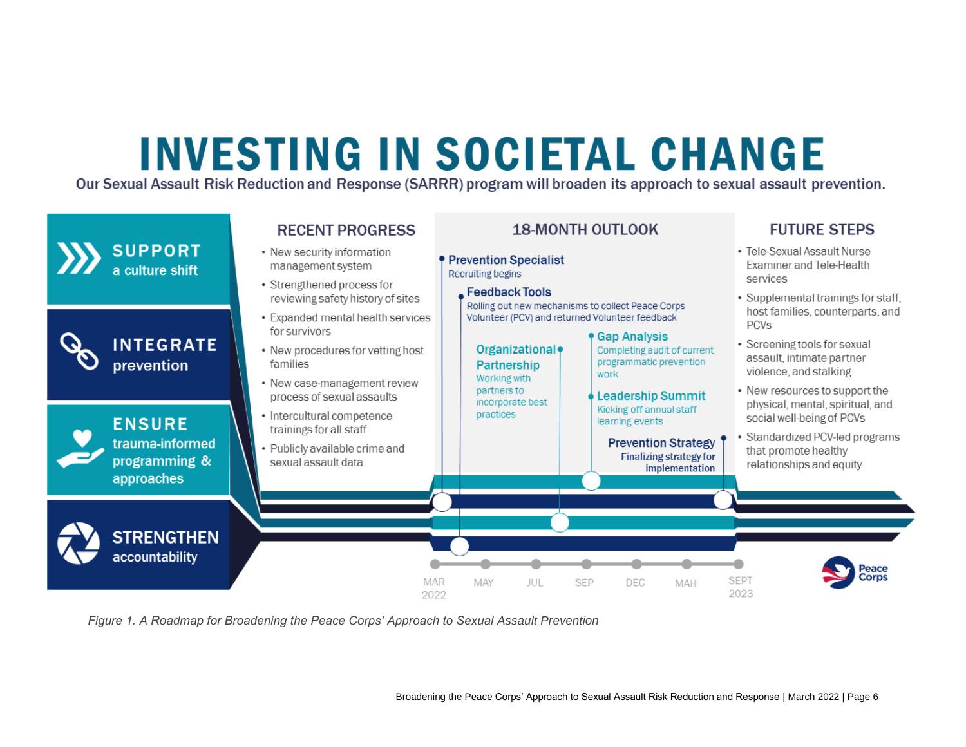# **INVESTING IN SOCIETAL CHANGE**

Our Sexual Assault Risk Reduction and Response (SARRR) program will broaden its approach to sexual assault prevention.



*Figure 1. A Roadmap for Broadening the Peace Corps' Approach to Sexual Assault Prevention*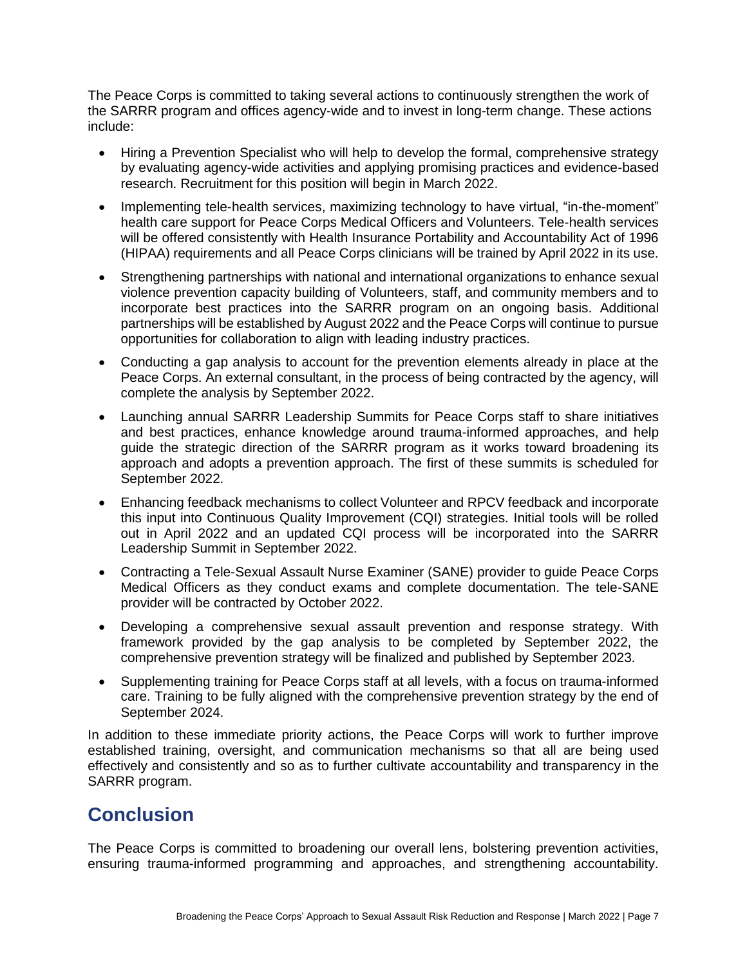The Peace Corps is committed to taking several actions to continuously strengthen the work of the SARRR program and offices agency-wide and to invest in long-term change. These actions include:

- Hiring a Prevention Specialist who will help to develop the formal, comprehensive strategy by evaluating agency-wide activities and applying promising practices and evidence-based research. Recruitment for this position will begin in March 2022.
- Implementing tele-health services, maximizing technology to have virtual, "in-the-moment" health care support for Peace Corps Medical Officers and Volunteers. Tele-health services will be offered consistently with Health Insurance Portability and Accountability Act of 1996 (HIPAA) requirements and all Peace Corps clinicians will be trained by April 2022 in its use.
- Strengthening partnerships with national and international organizations to enhance sexual violence prevention capacity building of Volunteers, staff, and community members and to incorporate best practices into the SARRR program on an ongoing basis. Additional partnerships will be established by August 2022 and the Peace Corps will continue to pursue opportunities for collaboration to align with leading industry practices.
- Conducting a gap analysis to account for the prevention elements already in place at the Peace Corps. An external consultant, in the process of being contracted by the agency, will complete the analysis by September 2022.
- Launching annual SARRR Leadership Summits for Peace Corps staff to share initiatives and best practices, enhance knowledge around trauma-informed approaches, and help guide the strategic direction of the SARRR program as it works toward broadening its approach and adopts a prevention approach. The first of these summits is scheduled for September 2022.
- Enhancing feedback mechanisms to collect Volunteer and RPCV feedback and incorporate this input into Continuous Quality Improvement (CQI) strategies. Initial tools will be rolled out in April 2022 and an updated CQI process will be incorporated into the SARRR Leadership Summit in September 2022.
- Contracting a Tele-Sexual Assault Nurse Examiner (SANE) provider to guide Peace Corps Medical Officers as they conduct exams and complete documentation. The tele-SANE provider will be contracted by October 2022.
- Developing a comprehensive sexual assault prevention and response strategy. With framework provided by the gap analysis to be completed by September 2022, the comprehensive prevention strategy will be finalized and published by September 2023.
- Supplementing training for Peace Corps staff at all levels, with a focus on trauma-informed care. Training to be fully aligned with the comprehensive prevention strategy by the end of September 2024.

In addition to these immediate priority actions, the Peace Corps will work to further improve established training, oversight, and communication mechanisms so that all are being used effectively and consistently and so as to further cultivate accountability and transparency in the SARRR program.

## **Conclusion**

The Peace Corps is committed to broadening our overall lens, bolstering prevention activities, ensuring trauma-informed programming and approaches, and strengthening accountability.